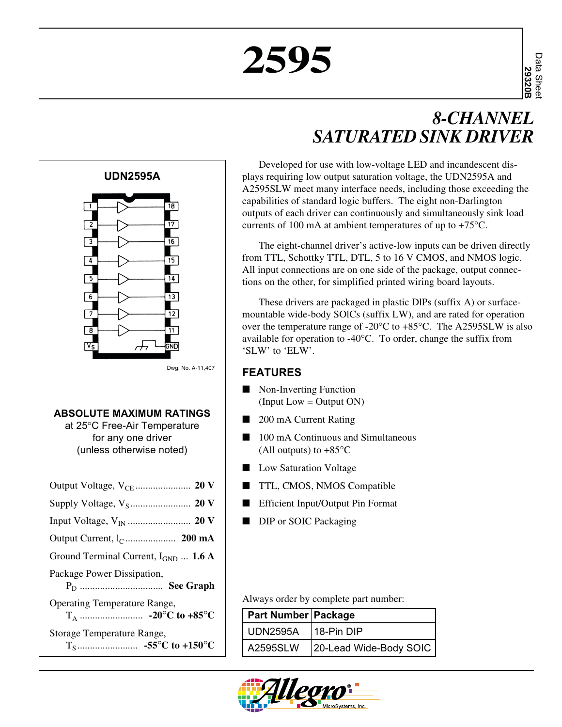# **2595**

# *8-CHANNEL SATURATED SINK DRIVER*



Developed for use with low-voltage LED and incandescent displays requiring low output saturation voltage, the UDN2595A and A2595SLW meet many interface needs, including those exceeding the capabilities of standard logic buffers. The eight non-Darlington outputs of each driver can continuously and simultaneously sink load currents of 100 mA at ambient temperatures of up to +75°C.

The eight-channel driver's active-low inputs can be driven directly from TTL, Schottky TTL, DTL, 5 to 16 V CMOS, and NMOS logic. All input connections are on one side of the package, output connections on the other, for simplified printed wiring board layouts.

These drivers are packaged in plastic DlPs (suffix A) or surfacemountable wide-body SOlCs (suffix LW), and are rated for operation over the temperature range of -20°C to +85°C. The A2595SLW is also available for operation to -40°C. To order, change the suffix from 'SLW' to 'ELW'.

## **FEATURES**

- Non-Inverting Function  $(Input Low = Output ON)$
- 200 mA Current Rating
- 100 mA Continuous and Simultaneous (All outputs) to  $+85^{\circ}$ C
- Low Saturation Voltage
- TTL, CMOS, NMOS Compatible
- Efficient Input/Output Pin Format
- DIP or SOIC Packaging

Always order by complete part number:

| Part Number Package |                        |  |  |
|---------------------|------------------------|--|--|
| <b>UDN2595A</b>     | 18-Pin DIP             |  |  |
| A2595SLW            | 20-Lead Wide-Body SOIC |  |  |

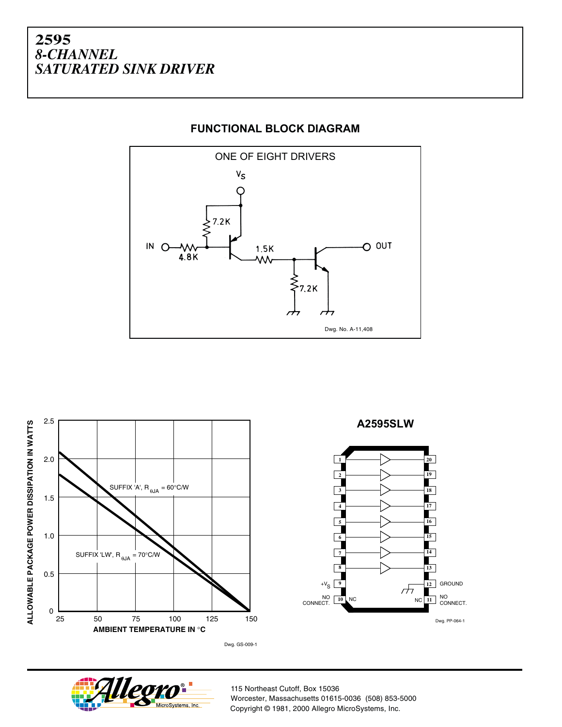### **FUNCTIONAL BLOCK DIAGRAM**







115 Northeast Cutoff, Box 15036 Worcester, Massachusetts 01615-0036 (508) 853-5000 Copyright © 1981, 2000 Allegro MicroSystems, Inc.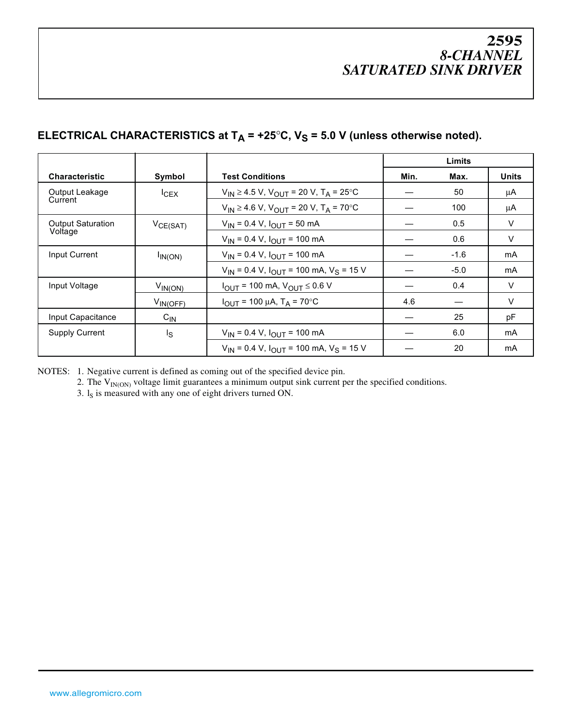## **ELECTRICAL CHARACTERISTICS at**  $T_A$  **= +25°C,**  $V_S$  **= 5.0 V (unless otherwise noted).**

|                          |                 |                                                             | Limits |        |       |
|--------------------------|-----------------|-------------------------------------------------------------|--------|--------|-------|
| <b>Characteristic</b>    | Symbol          | <b>Test Conditions</b>                                      | Min.   | Max.   | Units |
| Output Leakage           | $I_{CEX}$       | $V_{IN} \ge 4.5$ V, $V_{OUT} = 20$ V, $T_A = 25$ °C         |        | 50     | μA    |
| Current                  |                 | $V_{IN} \ge 4.6$ V, $V_{OUT} = 20$ V, $T_A = 70$ °C         |        | 100    | μA    |
| <b>Output Saturation</b> | $V_{CE(SAT)}$   | $V_{IN}$ = 0.4 V, $I_{OUT}$ = 50 mA                         |        | 0.5    | V     |
| Voltage                  |                 | $V_{IN}$ = 0.4 V, $I_{OUT}$ = 100 mA                        |        | 0.6    | V     |
| Input Current            | $I_{IN(ON)}$    | $V_{IN}$ = 0.4 V, $I_{OUT}$ = 100 mA                        |        | $-1.6$ | mA    |
|                          |                 | $V_{IN}$ = 0.4 V, $I_{OUT}$ = 100 mA, V <sub>S</sub> = 15 V |        | $-5.0$ | mA    |
| Input Voltage            | $V_{IN(ON)}$    | $I_{\text{OUT}}$ = 100 mA, $V_{\text{OUT}}$ $\leq$ 0.6 V    |        | 0.4    | V     |
|                          | $V_{IN(OFF)}$   | $I_{OUT}$ = 100 µA, T <sub>A</sub> = 70°C                   | 4.6    |        | V     |
| Input Capacitance        | $C_{\text{IN}}$ |                                                             |        | 25     | pF    |
| <b>Supply Current</b>    | ls              | $V_{IN}$ = 0.4 V, $I_{OUT}$ = 100 mA                        |        | 6.0    | mA    |
|                          |                 | $V_{IN}$ = 0.4 V, $I_{OUIT}$ = 100 mA, $V_S$ = 15 V         |        | 20     | mA    |

NOTES: 1. Negative current is defined as coming out of the specified device pin.

2. The  $V_{IN(ON)}$  voltage limit guarantees a minimum output sink current per the specified conditions.

3.  $l_s$  is measured with any one of eight drivers turned ON.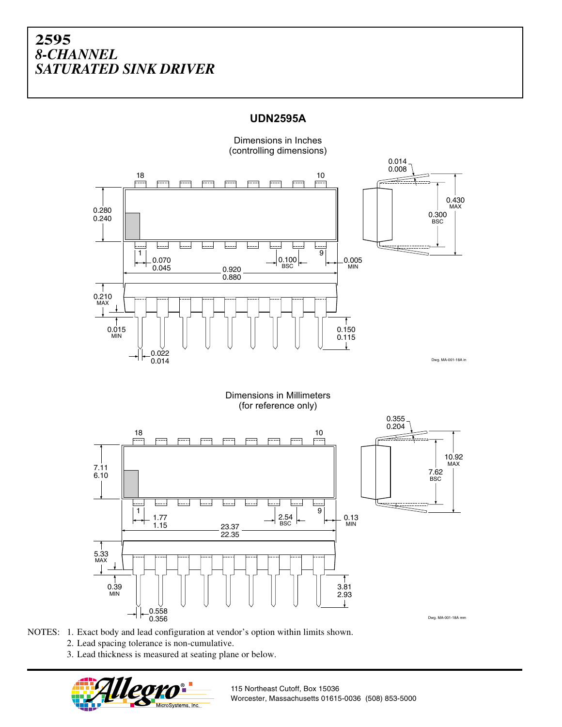#### **UDN2595A**



Dimensions in Inches (controlling dimensions)

Dimensions in Millimeters (for reference only)



NOTES: 1. Exact body and lead configuration at vendor's option within limits shown.

- 2. Lead spacing tolerance is non-cumulative.
- 3. Lead thickness is measured at seating plane or below.



115 Northeast Cutoff, Box 15036 Worcester, Massachusetts 01615-0036 (508) 853-5000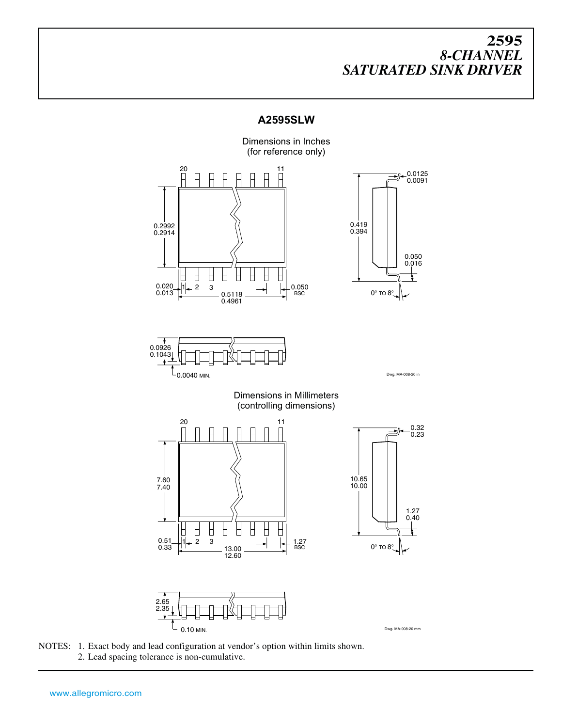#### **A2595SLW**



Dimensions in Inches

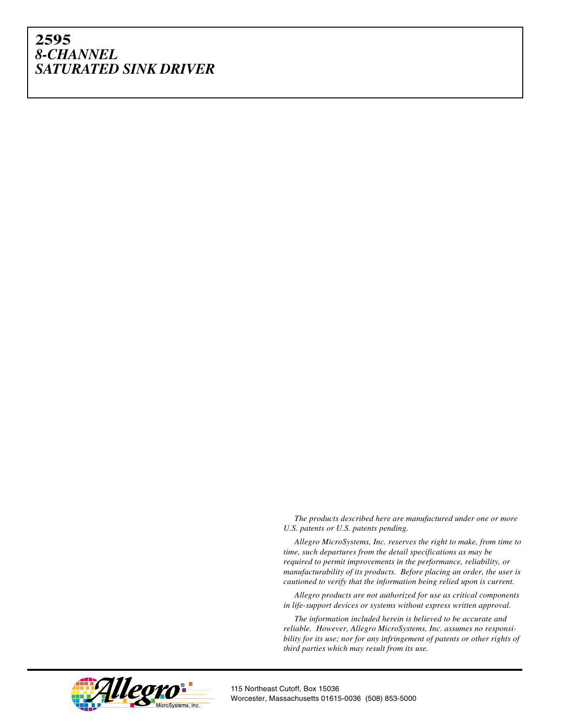*The products described here are manufactured under one or more U.S. patents or U.S. patents pending.*

*Allegro MicroSystems, Inc. reserves the right to make, from time to time, such departures from the detail specifications as may be required to permit improvements in the performance, reliability, or manufacturability of its products. Before placing an order, the user is cautioned to verify that the information being relied upon is current.*

*Allegro products are not authorized for use as critical components in life-support devices or systems without express written approval.*

*The information included herein is believed to be accurate and reliable. However, Allegro MicroSystems, Inc. assumes no responsibility for its use; nor for any infringement of patents or other rights of third parties which may result from its use.*



115 Northeast Cutoff, Box 15036 Worcester, Massachusetts 01615-0036 (508) 853-5000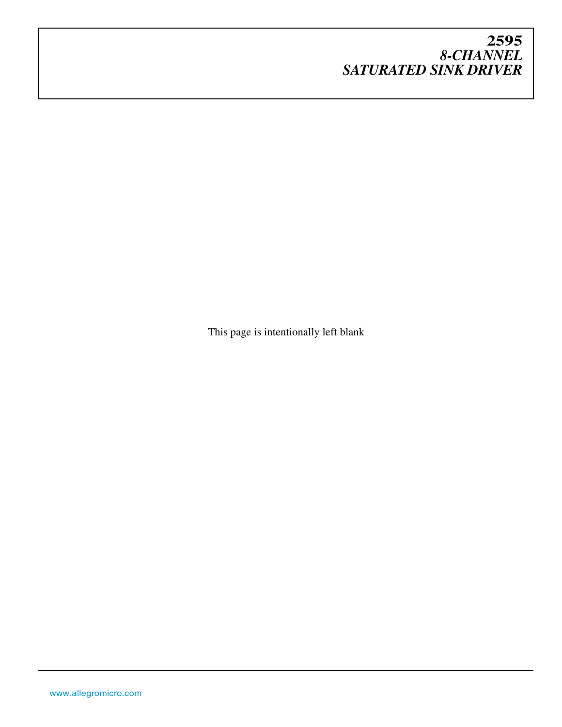This page is intentionally left blank